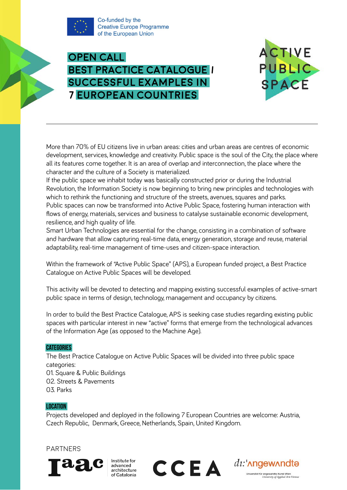

Co-funded by the **Creative Europe Programme** of the European Union





More than 70% of EU citizens live in urban areas: cities and urban areas are centres of economic development, services, knowledge and creativity. Public space is the soul of the City, the place where all its features come together. It is an area of overlap and interconnection, the place where the character and the culture of a Society is materialized.

If the public space we inhabit today was basically constructed prior or during the Industrial Revolution, the Information Society is now beginning to bring new principles and technologies with which to rethink the functioning and structure of the streets, avenues, squares and parks. Public spaces can now be transformed into Active Public Space, fostering human interaction with flows of energy, materials, services and business to catalyse sustainable economic development, resilience, and high quality of life.

Smart Urban Technologies are essential for the change, consisting in a combination of software and hardware that allow capturing real-time data, energy generation, storage and reuse, material adaptability, real-time management of time-uses and citizen-space interaction.

Within the framework of "Active Public Space" (APS), a European funded project, a Best Practice Catalogue on Active Public Spaces will be developed.

This activity will be devoted to detecting and mapping existing successful examples of active-smart public space in terms of design, technology, management and occupancy by citizens.

In order to build the Best Practice Catalogue, APS is seeking case studies regarding existing public spaces with particular interest in new "active" forms that emerge from the technological advances of the Information Age (as opposed to the Machine Age).

## **CATEGORIES**

The Best Practice Catalogue on Active Public Spaces will be divided into three public space categories:

01. Square & Public Buildings 02. Streets & Pavements 03. Parks

## Location

Projects developed and deployed in the following 7 European Countries are welcome: Austria, Czech Republic, Denmark, Greece, Netherlands, Spain, United Kingdom.

# **PARTNERS**



Institute for

advanced aananeed<br>architecture

of Catalonia